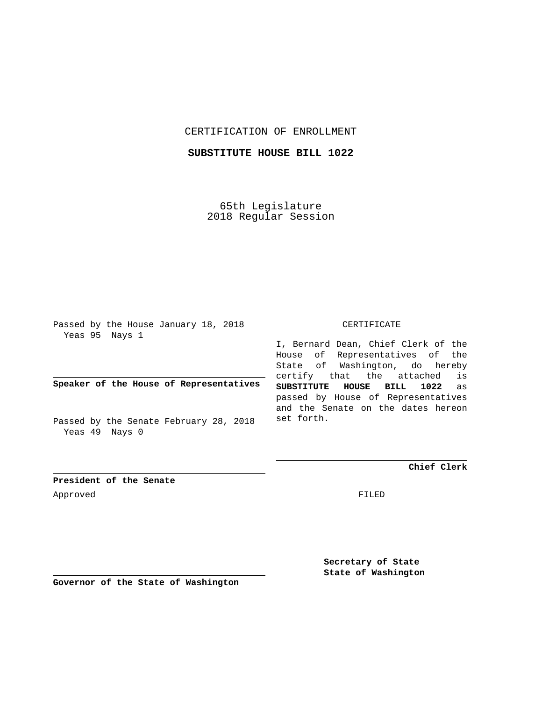## CERTIFICATION OF ENROLLMENT

## **SUBSTITUTE HOUSE BILL 1022**

65th Legislature 2018 Regular Session

Passed by the House January 18, 2018 Yeas 95 Nays 1

**Speaker of the House of Representatives**

Passed by the Senate February 28, 2018 Yeas 49 Nays 0

## CERTIFICATE

I, Bernard Dean, Chief Clerk of the House of Representatives of the State of Washington, do hereby certify that the attached is **SUBSTITUTE HOUSE BILL 1022** as passed by House of Representatives and the Senate on the dates hereon set forth.

**Chief Clerk**

**President of the Senate** Approved FILED

**Secretary of State State of Washington**

**Governor of the State of Washington**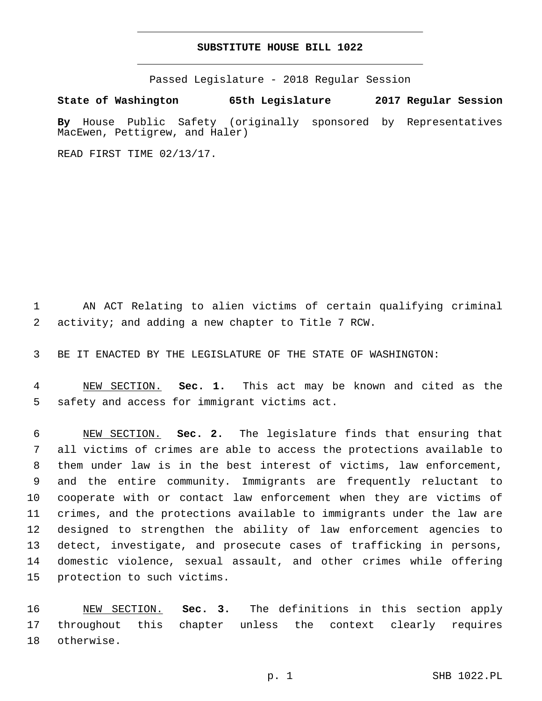## **SUBSTITUTE HOUSE BILL 1022**

Passed Legislature - 2018 Regular Session

**State of Washington 65th Legislature 2017 Regular Session**

**By** House Public Safety (originally sponsored by Representatives MacEwen, Pettigrew, and Haler)

READ FIRST TIME 02/13/17.

 AN ACT Relating to alien victims of certain qualifying criminal 2 activity; and adding a new chapter to Title 7 RCW.

BE IT ENACTED BY THE LEGISLATURE OF THE STATE OF WASHINGTON:

 NEW SECTION. **Sec. 1.** This act may be known and cited as the safety and access for immigrant victims act.

 NEW SECTION. **Sec. 2.** The legislature finds that ensuring that all victims of crimes are able to access the protections available to them under law is in the best interest of victims, law enforcement, and the entire community. Immigrants are frequently reluctant to cooperate with or contact law enforcement when they are victims of crimes, and the protections available to immigrants under the law are designed to strengthen the ability of law enforcement agencies to detect, investigate, and prosecute cases of trafficking in persons, domestic violence, sexual assault, and other crimes while offering protection to such victims.

 NEW SECTION. **Sec. 3.** The definitions in this section apply throughout this chapter unless the context clearly requires otherwise.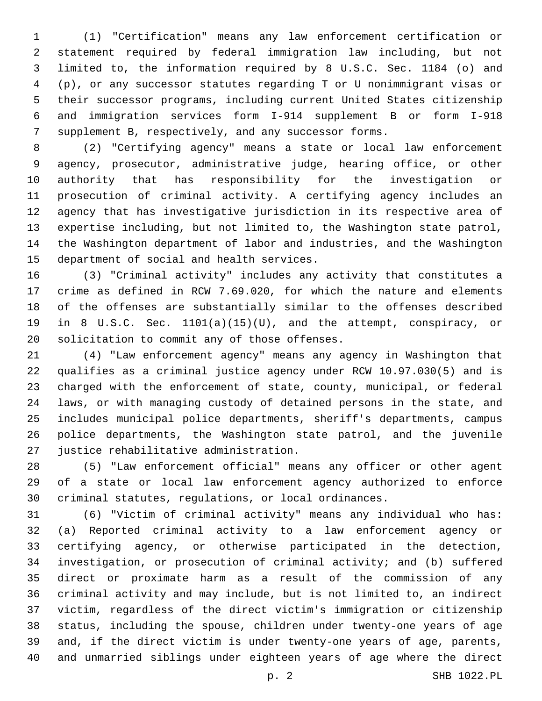(1) "Certification" means any law enforcement certification or statement required by federal immigration law including, but not limited to, the information required by 8 U.S.C. Sec. 1184 (o) and (p), or any successor statutes regarding T or U nonimmigrant visas or their successor programs, including current United States citizenship and immigration services form I-914 supplement B or form I-918 supplement B, respectively, and any successor forms.

 (2) "Certifying agency" means a state or local law enforcement agency, prosecutor, administrative judge, hearing office, or other authority that has responsibility for the investigation or prosecution of criminal activity. A certifying agency includes an agency that has investigative jurisdiction in its respective area of expertise including, but not limited to, the Washington state patrol, the Washington department of labor and industries, and the Washington 15 department of social and health services.

 (3) "Criminal activity" includes any activity that constitutes a crime as defined in RCW 7.69.020, for which the nature and elements of the offenses are substantially similar to the offenses described in 8 U.S.C. Sec. 1101(a)(15)(U), and the attempt, conspiracy, or 20 solicitation to commit any of those offenses.

 (4) "Law enforcement agency" means any agency in Washington that qualifies as a criminal justice agency under RCW 10.97.030(5) and is charged with the enforcement of state, county, municipal, or federal laws, or with managing custody of detained persons in the state, and includes municipal police departments, sheriff's departments, campus police departments, the Washington state patrol, and the juvenile 27 justice rehabilitative administration.

 (5) "Law enforcement official" means any officer or other agent of a state or local law enforcement agency authorized to enforce criminal statutes, regulations, or local ordinances.

 (6) "Victim of criminal activity" means any individual who has: (a) Reported criminal activity to a law enforcement agency or certifying agency, or otherwise participated in the detection, investigation, or prosecution of criminal activity; and (b) suffered direct or proximate harm as a result of the commission of any criminal activity and may include, but is not limited to, an indirect victim, regardless of the direct victim's immigration or citizenship status, including the spouse, children under twenty-one years of age and, if the direct victim is under twenty-one years of age, parents, and unmarried siblings under eighteen years of age where the direct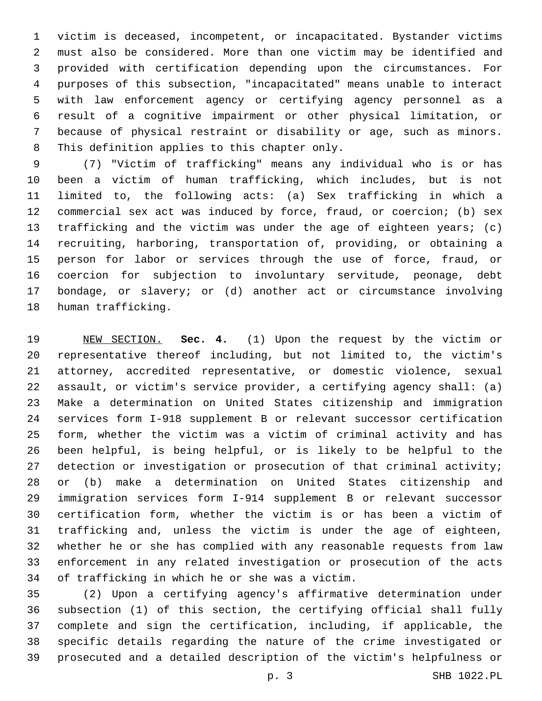victim is deceased, incompetent, or incapacitated. Bystander victims must also be considered. More than one victim may be identified and provided with certification depending upon the circumstances. For purposes of this subsection, "incapacitated" means unable to interact with law enforcement agency or certifying agency personnel as a result of a cognitive impairment or other physical limitation, or because of physical restraint or disability or age, such as minors. 8 This definition applies to this chapter only.

 (7) "Victim of trafficking" means any individual who is or has been a victim of human trafficking, which includes, but is not limited to, the following acts: (a) Sex trafficking in which a commercial sex act was induced by force, fraud, or coercion; (b) sex trafficking and the victim was under the age of eighteen years; (c) recruiting, harboring, transportation of, providing, or obtaining a person for labor or services through the use of force, fraud, or coercion for subjection to involuntary servitude, peonage, debt bondage, or slavery; or (d) another act or circumstance involving 18 human trafficking.

 NEW SECTION. **Sec. 4.** (1) Upon the request by the victim or representative thereof including, but not limited to, the victim's attorney, accredited representative, or domestic violence, sexual assault, or victim's service provider, a certifying agency shall: (a) Make a determination on United States citizenship and immigration services form I-918 supplement B or relevant successor certification form, whether the victim was a victim of criminal activity and has been helpful, is being helpful, or is likely to be helpful to the detection or investigation or prosecution of that criminal activity; or (b) make a determination on United States citizenship and immigration services form I-914 supplement B or relevant successor certification form, whether the victim is or has been a victim of trafficking and, unless the victim is under the age of eighteen, whether he or she has complied with any reasonable requests from law enforcement in any related investigation or prosecution of the acts of trafficking in which he or she was a victim.

 (2) Upon a certifying agency's affirmative determination under subsection (1) of this section, the certifying official shall fully complete and sign the certification, including, if applicable, the specific details regarding the nature of the crime investigated or prosecuted and a detailed description of the victim's helpfulness or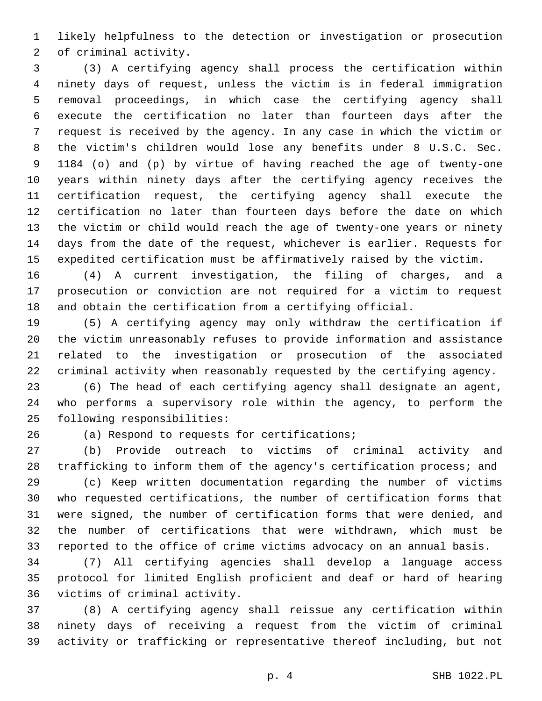likely helpfulness to the detection or investigation or prosecution 2 of criminal activity.

 (3) A certifying agency shall process the certification within ninety days of request, unless the victim is in federal immigration removal proceedings, in which case the certifying agency shall execute the certification no later than fourteen days after the request is received by the agency. In any case in which the victim or the victim's children would lose any benefits under 8 U.S.C. Sec. 1184 (o) and (p) by virtue of having reached the age of twenty-one years within ninety days after the certifying agency receives the certification request, the certifying agency shall execute the certification no later than fourteen days before the date on which the victim or child would reach the age of twenty-one years or ninety days from the date of the request, whichever is earlier. Requests for expedited certification must be affirmatively raised by the victim.

 (4) A current investigation, the filing of charges, and a prosecution or conviction are not required for a victim to request and obtain the certification from a certifying official.

 (5) A certifying agency may only withdraw the certification if the victim unreasonably refuses to provide information and assistance related to the investigation or prosecution of the associated criminal activity when reasonably requested by the certifying agency.

 (6) The head of each certifying agency shall designate an agent, who performs a supervisory role within the agency, to perform the 25 following responsibilities:

26 (a) Respond to requests for certifications;

 (b) Provide outreach to victims of criminal activity and trafficking to inform them of the agency's certification process; and

 (c) Keep written documentation regarding the number of victims who requested certifications, the number of certification forms that were signed, the number of certification forms that were denied, and the number of certifications that were withdrawn, which must be reported to the office of crime victims advocacy on an annual basis.

 (7) All certifying agencies shall develop a language access protocol for limited English proficient and deaf or hard of hearing 36 victims of criminal activity.

 (8) A certifying agency shall reissue any certification within ninety days of receiving a request from the victim of criminal activity or trafficking or representative thereof including, but not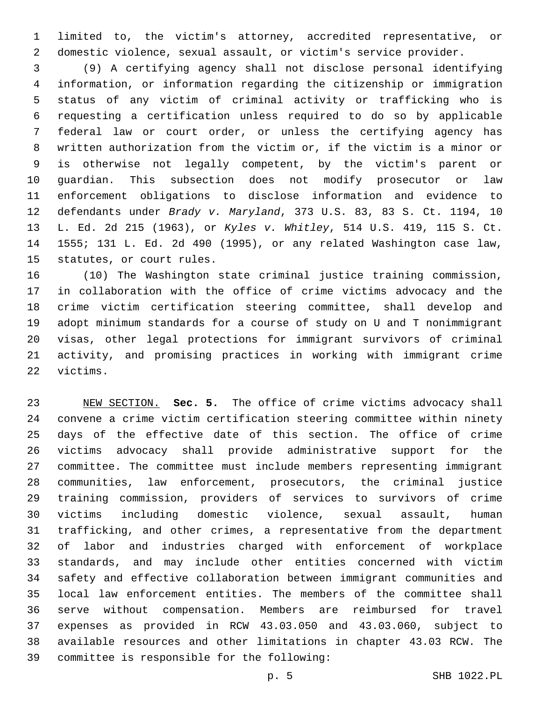limited to, the victim's attorney, accredited representative, or domestic violence, sexual assault, or victim's service provider.

 (9) A certifying agency shall not disclose personal identifying information, or information regarding the citizenship or immigration status of any victim of criminal activity or trafficking who is requesting a certification unless required to do so by applicable federal law or court order, or unless the certifying agency has written authorization from the victim or, if the victim is a minor or is otherwise not legally competent, by the victim's parent or guardian. This subsection does not modify prosecutor or law enforcement obligations to disclose information and evidence to defendants under *Brady v. Maryland*, 373 U.S. 83, 83 S. Ct. 1194, 10 L. Ed. 2d 215 (1963), or *Kyles v. Whitley*, 514 U.S. 419, 115 S. Ct. 1555; 131 L. Ed. 2d 490 (1995), or any related Washington case law, 15 statutes, or court rules.

 (10) The Washington state criminal justice training commission, in collaboration with the office of crime victims advocacy and the crime victim certification steering committee, shall develop and adopt minimum standards for a course of study on U and T nonimmigrant visas, other legal protections for immigrant survivors of criminal activity, and promising practices in working with immigrant crime 22 victims.

 NEW SECTION. **Sec. 5.** The office of crime victims advocacy shall convene a crime victim certification steering committee within ninety days of the effective date of this section. The office of crime victims advocacy shall provide administrative support for the committee. The committee must include members representing immigrant communities, law enforcement, prosecutors, the criminal justice training commission, providers of services to survivors of crime victims including domestic violence, sexual assault, human trafficking, and other crimes, a representative from the department of labor and industries charged with enforcement of workplace standards, and may include other entities concerned with victim safety and effective collaboration between immigrant communities and local law enforcement entities. The members of the committee shall serve without compensation. Members are reimbursed for travel expenses as provided in RCW 43.03.050 and 43.03.060, subject to available resources and other limitations in chapter 43.03 RCW. The committee is responsible for the following: